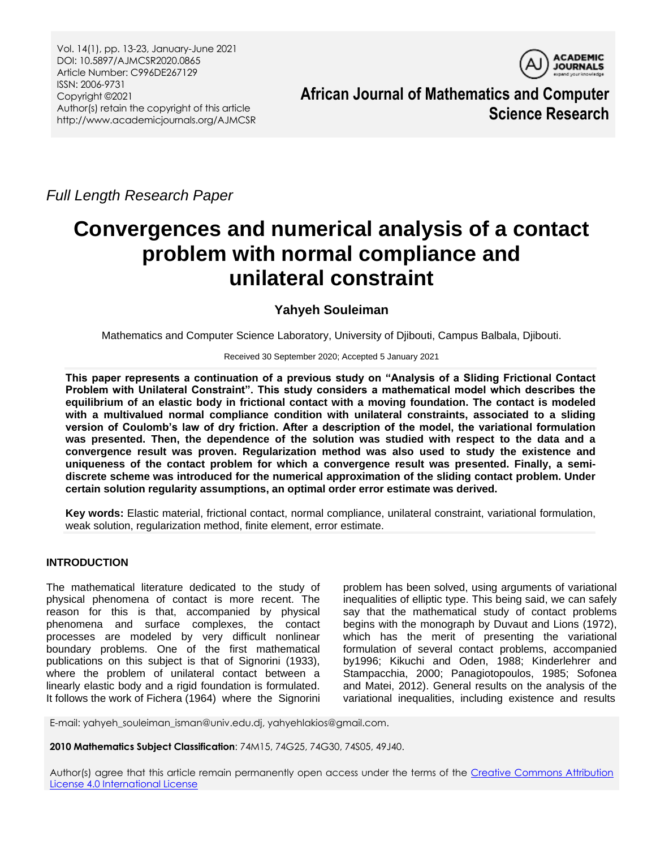Vol. 14(1), pp. 13-23, January-June 2021 DOI: 10.5897/AJMCSR2020.0865 Article Number: C996DE267129 ISSN: 2006-9731 Copyright ©2021 Author(s) retain the copyright of this article http://www.academicjournals.org/AJMCSR



**African Journal of Mathematics and Computer Science Research**

*Full Length Research Paper*

# **Convergences and numerical analysis of a contact problem with normal compliance and unilateral constraint**

# **Yahyeh Souleiman**

Mathematics and Computer Science Laboratory, University of Djibouti, Campus Balbala, Djibouti.

Received 30 September 2020; Accepted 5 January 2021

**This paper represents a continuation of a previous study on "Analysis of a Sliding Frictional Contact Problem with Unilateral Constraint". This study considers a mathematical model which describes the equilibrium of an elastic body in frictional contact with a moving foundation. The contact is modeled with a multivalued normal compliance condition with unilateral constraints, associated to a sliding version of Coulomb's law of dry friction. After a description of the model, the variational formulation was presented. Then, the dependence of the solution was studied with respect to the data and a convergence result was proven. Regularization method was also used to study the existence and uniqueness of the contact problem for which a convergence result was presented. Finally, a semidiscrete scheme was introduced for the numerical approximation of the sliding contact problem. Under certain solution regularity assumptions, an optimal order error estimate was derived.** 

**Key words:** Elastic material, frictional contact, normal compliance, unilateral constraint, variational formulation, weak solution, regularization method, finite element, error estimate.

# **INTRODUCTION**

The mathematical literature dedicated to the study of physical phenomena of contact is more recent. The reason for this is that, accompanied by physical phenomena and surface complexes, the contact processes are modeled by very difficult nonlinear boundary problems. One of the first mathematical publications on this subject is that of Signorini (1933), where the problem of unilateral contact between a linearly elastic body and a rigid foundation is formulated. It follows the work of Fichera (1964) where the Signorini

problem has been solved, using arguments of variational inequalities of elliptic type. This being said, we can safely say that the mathematical study of contact problems begins with the monograph by Duvaut and Lions (1972), which has the merit of presenting the variational formulation of several contact problems, accompanied by1996; Kikuchi and Oden, 1988; Kinderlehrer and Stampacchia, 2000; Panagiotopoulos, 1985; Sofonea and Matei, 2012). General results on the analysis of the variational inequalities, including existence and results

E-mail: yahyeh\_souleiman\_isman@univ.edu.dj, yahyehlakios@gmail.com.

**2010 Mathematics Subject Classification**: 74M15, 74G25, 74G30, 74S05, 49J40.

Author(s) agree that this article remain permanently open access under the terms of the Creative Commons Attribution [License 4.0 International License](http://creativecommons.org/licenses/by/4.0/deed.en_US)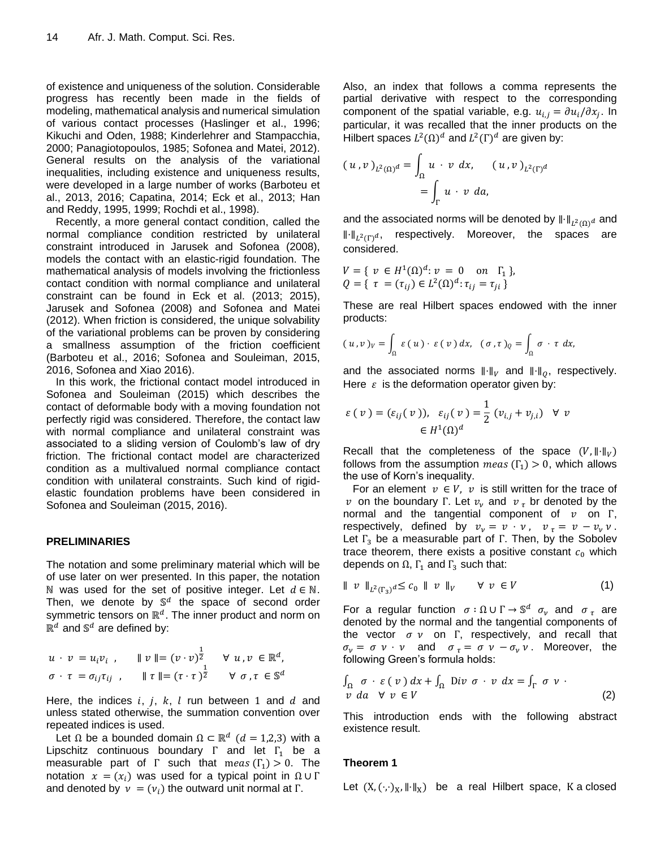of existence and uniqueness of the solution. Considerable progress has recently been made in the fields of modeling, mathematical analysis and numerical simulation of various contact processes (Haslinger et al., 1996; Kikuchi and Oden, 1988; Kinderlehrer and Stampacchia, 2000; Panagiotopoulos, 1985; Sofonea and Matei, 2012). General results on the analysis of the variational inequalities, including existence and uniqueness results, were developed in a large number of works (Barboteu et al., 2013, 2016; Capatina, 2014; Eck et al., 2013; Han and Reddy, 1995, 1999; Rochdi et al., 1998).

Recently, a more general contact condition, called the normal compliance condition restricted by unilateral constraint introduced in Jarusek and Sofonea (2008), models the contact with an elastic-rigid foundation. The mathematical analysis of models involving the frictionless contact condition with normal compliance and unilateral constraint can be found in Eck et al. (2013; 2015), Jarusek and Sofonea (2008) and Sofonea and Matei (2012). When friction is considered, the unique solvability of the variational problems can be proven by considering a smallness assumption of the friction coefficient (Barboteu et al., 2016; Sofonea and Souleiman, 2015, 2016, Sofonea and Xiao 2016).

In this work, the frictional contact model introduced in Sofonea and Souleiman (2015) which describes the contact of deformable body with a moving foundation not perfectly rigid was considered. Therefore, the contact law with normal compliance and unilateral constraint was associated to a sliding version of Coulomb's law of dry friction. The frictional contact model are characterized condition as a multivalued normal compliance contact condition with unilateral constraints. Such kind of rigidelastic foundation problems have been considered in Sofonea and Souleiman (2015, 2016).

#### **PRELIMINARIES**

The notation and some preliminary material which will be of use later on wer presented. In this paper, the notation N was used for the set of positive integer. Let  $d \in N$ . Then, we denote by  $\mathbb{S}^d$  the space of second order symmetric tensors on  $\mathbb{R}^d$ . The inner product and norm on  $\mathbb{R}^d$  and  $\mathbb{S}^d$  are defined by:

$$
u \cdot v = u_i v_i, \quad \|v\| = (v \cdot v)^{\frac{1}{2}} \quad \forall u, v \in \mathbb{R}^d,
$$
  

$$
\sigma \cdot \tau = \sigma_{ij} \tau_{ij}, \quad \| \tau \| = (\tau \cdot \tau)^{\frac{1}{2}} \quad \forall \sigma, \tau \in \mathbb{S}^d
$$

Here, the indices  $i, j, k, l$  run between 1 and  $d$  and unless stated otherwise, the summation convention over repeated indices is used.

Let  $\Omega$  be a bounded domain  $\Omega \subset \mathbb{R}^d$   $(d = 1,2,3)$  with a Lipschitz continuous boundary  $\Gamma$  and let  $\Gamma_1$  be a measurable part of  $\Gamma$  such that meas  $(\Gamma_1) > 0$ . The notation  $x = (x_i)$  was used for a typical point in  $\Omega \cup \Gamma$ and denoted by  $v = (v_i)$  the outward unit normal at  $\Gamma$ .

Also, an index that follows a comma represents the partial derivative with respect to the corresponding component of the spatial variable, e.g.  $u_{i,j} = \partial u_i / \partial x_i$ . In particular, it was recalled that the inner products on the Hilbert spaces  $L^2(\Omega)^d$  and  $L^2(\Gamma)^d$  are given by:

$$
(u,v)_{L^2(\Omega)^d} = \int_{\Omega} u \cdot v \, dx, \quad (u,v)_{L^2(\Gamma)^d}
$$
  
= 
$$
\int_{\Gamma} u \cdot v \, da,
$$

and the associated norms will be denoted by  $\lVert \cdot \rVert_{L^2(O)} d$  and  $\left\| \cdot \right\|_{L^2(\Gamma)}$ , respectively. Moreover, the spaces are considered.

$$
V = \{ v \in H^{1}(\Omega)^{d} : v = 0 \text{ on } \Gamma_{1} \},
$$
  

$$
Q = \{ \tau = (\tau_{ij}) \in L^{2}(\Omega)^{d} : \tau_{ij} = \tau_{ji} \}
$$

These are real Hilbert spaces endowed with the inner products:

$$
(u,v)_V = \int_{\Omega} \varepsilon(u) \cdot \varepsilon(v) dx, \quad (\sigma, \tau)_Q = \int_{\Omega} \sigma \cdot \tau dx,
$$

and the associated norms  $\|\cdot\|_V$  and  $\|\cdot\|_0$ , respectively. Here  $\varepsilon$  is the deformation operator given by:

$$
\varepsilon(v) = (\varepsilon_{ij}(v)), \varepsilon_{ij}(v) = \frac{1}{2}(v_{i,j} + v_{j,i}) \forall v
$$
  

$$
\in H^1(\Omega)^d
$$

Recall that the completeness of the space  $(V, \|\cdot\|_V)$ follows from the assumption meas  $(\Gamma_1) > 0$ , which allows the use of Korn's inequality.

For an element  $v \in V$ , v is still written for the trace of v on the boundary  $\Gamma$ . Let  $v_v$  and  $v<sub>\tau</sub>$  br denoted by the normal and the tangential component of  $v$  on  $\Gamma$ , respectively, defined by  $v_y = v \cdot v$ ,  $v_z = v - v_y v$ . Let  $\Gamma_3$  be a measurable part of  $\Gamma$ . Then, by the Sobolev trace theorem, there exists a positive constant  $c_0$  which depends on  $\Omega$ ,  $\Gamma_1$  and  $\Gamma_3$  such that:

$$
\parallel v \parallel_{L^2(\Gamma_3)} d \leq c_0 \parallel v \parallel_V \qquad \forall \ v \in V \tag{1}
$$

For a regular function  $\sigma : \Omega \cup \Gamma \rightarrow \mathbb{S}^d$   $\sigma_v$  and  $\sigma_{\tau}$  are denoted by the normal and the tangential components of the vector  $\sigma v$  on  $\Gamma$ , respectively, and recall that  $\sigma_{\nu} = \sigma v \cdot v$  and  $\sigma_{\tau} = \sigma v - \sigma_{\nu} v$ . Moreover, the following Green's formula holds:

$$
\int_{\Omega} \sigma \cdot \varepsilon(v) dx + \int_{\Omega} Div \sigma \cdot v dx = \int_{\Gamma} \sigma v
$$
  
\n*v da*  $\forall v \in V$  (2)

This introduction ends with the following abstract existence result.

## **Theorem 1**

Let  $(X, (\cdot, \cdot)_X, \|\cdot\|_X)$  be a real Hilbert space, K a closed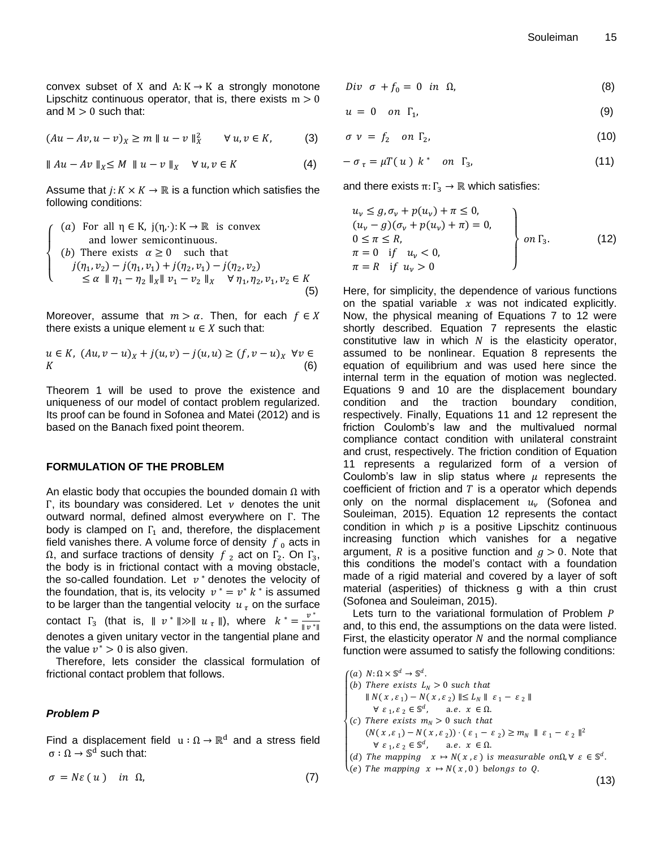convex subset of X and  $A: K \rightarrow K$  a strongly monotone Lipschitz continuous operator, that is, there exists  $m > 0$ and  $M > 0$  such that:

$$
(Au - Av, u - v)_X \ge m \|u - v\|_X^2 \quad \forall u, v \in K,
$$
 (3)

$$
\|Au - Av\|_{X} \le M \quad \|u - v\|_{X} \quad \forall \, u, v \in K \tag{4}
$$

Assume that  $j: K \times K \to \mathbb{R}$  is a function which satisfies the following conditions:

 $\overline{\mathcal{L}}$  $\mathsf{I}$  $\mathbf{I}$  $\mathbf{I}$  $\overline{1}$ (a) For all  $\eta \in K$ ,  $j(\eta, \cdot): K \to \mathbb{R}$  is convex and lower semicontinuous. (  $j(\eta_1, \nu_2) - j(\eta_1, \nu_1) + j(\eta_2, \nu_1) - j(\eta_2, \nu_2)$  $\leq \alpha$   $\|\eta_1 - \eta_2\|_X \|\nu_1 - \nu_2\|_X \quad \forall \eta_1, \eta_2, \nu_1$  $(5)$ 

Moreover, assume that  $m > \alpha$ . Then, for each  $f \in X$ there exists a unique element  $u \in X$  such that:

$$
u \in K, (Au, v - u)_X + j(u, v) - j(u, u) \ge (f, v - u)_X \ \forall v \in K
$$
\n(6)

Theorem 1 will be used to prove the existence and uniqueness of our model of contact problem regularized. Its proof can be found in Sofonea and Matei (2012) and is based on the Banach fixed point theorem.

#### **FORMULATION OF THE PROBLEM**

An elastic body that occupies the bounded domain  $\Omega$  with  $\Gamma$ , its boundary was considered. Let  $\nu$  denotes the unit outward normal, defined almost everywhere on  $\Gamma$ . The body is clamped on  $\Gamma_1$  and, therefore, the displacement field vanishes there. A volume force of density  $f_0$  acts in  $\Omega$ , and surface tractions of density  $f_2$  act on  $\Gamma_2$ . On  $\Gamma_3$ , the body is in frictional contact with a moving obstacle, the so-called foundation. Let  $v^*$  denotes the velocity of the foundation, that is, its velocity  $v^* = v^* k^*$  is assumed to be larger than the tangential velocity  $u<sub>\tau</sub>$  on the surface contact  $\Gamma_3$  (that is,  $||v^*|| \gg ||u_\tau||$ ), where  $k^* = \frac{v^*}{||v^*||}$  $\parallel v^*$ denotes a given unitary vector in the tangential plane and the value  $v^* > 0$  is also given.

Therefore, lets consider the classical formulation of frictional contact problem that follows.

#### *Problem P*

Find a displacement field  $u : \Omega \to \mathbb{R}^d$  and a stress field  $\sigma:\Omega\to \mathbb{S}^d$  such that:

$$
\sigma = N\varepsilon (u) \quad in \ \Omega, \tag{7}
$$

$$
Div \sigma + f_0 = 0 \text{ in } \Omega, \tag{8}
$$

$$
u = 0 \quad on \quad \Gamma_1,\tag{9}
$$

$$
\sigma \ \nu \ = \ f_2 \quad \text{on } \Gamma_2, \tag{10}
$$

$$
-\sigma_{\tau} = \mu T(u) k^* \quad \text{on } \Gamma_3,\tag{11}
$$

and there exists  $\pi: \Gamma_3 \to \mathbb{R}$  which satisfies:

$$
u_{\nu} \leq g, \sigma_{\nu} + p(u_{\nu}) + \pi \leq 0,(u_{\nu} - g)(\sigma_{\nu} + p(u_{\nu}) + \pi) = 0,0 \leq \pi \leq R,\pi = 0 \text{ if } u_{\nu} < 0,\pi = R \text{ if } u_{\nu} > 0
$$
\n(12)

Here, for simplicity, the dependence of various functions on the spatial variable  $x$  was not indicated explicitly. Now, the physical meaning of Equations 7 to 12 were shortly described. Equation 7 represents the elastic constitutive law in which  $N$  is the elasticity operator, assumed to be nonlinear. Equation 8 represents the equation of equilibrium and was used here since the internal term in the equation of motion was neglected. Equations 9 and 10 are the displacement boundary condition and the traction boundary condition, respectively. Finally, Equations 11 and 12 represent the friction Coulomb's law and the multivalued normal compliance contact condition with unilateral constraint and crust, respectively. The friction condition of Equation 11 represents a regularized form of a version of Coulomb's law in slip status where  $\mu$  represents the coefficient of friction and  $T$  is a operator which depends only on the normal displacement  $u_{\nu}$  (Sofonea and Souleiman, 2015). Equation 12 represents the contact condition in which  $p$  is a positive Lipschitz continuous increasing function which vanishes for a negative argument, R is a positive function and  $g > 0$ . Note that this conditions the model's contact with a foundation made of a rigid material and covered by a layer of soft material (asperities) of thickness g with a thin crust (Sofonea and Souleiman, 2015).

Lets turn to the variational formulation of Problem P and, to this end, the assumptions on the data were listed. First, the elasticity operator  *and the normal compliance* function were assumed to satisfy the following conditions:

(a)  $N: \Omega \times \mathbb{S}^d \to \mathbb{S}^d$ .

- $\mathbf{I}$  $\mathbf{I}$  $\mathbf{I}$  $\mathbf{I}$  $\mathbf{I}$  $\mathbf{I}$  $\mathbf{I}$ (a)  $h \leq k \leq 0$  such that  $|| N(x, \varepsilon_1) - N(x, \varepsilon_2) || \le L_N || \varepsilon_1 - \varepsilon_2 ||$  $\forall \varepsilon_1, \varepsilon_2 \in \mathbb{S}^d$ , a.e.  $x \in \Omega$ . (c) There exists  $m_N > 0$  such that  $(N(x, \varepsilon_1) - N(x, \varepsilon_2)) \cdot (\varepsilon_1 - \varepsilon_2) \ge m_N \parallel \varepsilon_1 - \varepsilon_2 \parallel^2$  $\forall \varepsilon_1, \varepsilon_2 \in \mathbb{S}^d$ , a.e.  $x \in \Omega$ .
- (d) The mapping  $x \mapsto N(x, \varepsilon)$  is measurable on  $\Omega$ ,  $\forall \varepsilon \in \mathbb{S}^d$ .
- $(13)$  $\lambda(e)$  The mapping  $x \mapsto N(x, 0)$  belongs to Q.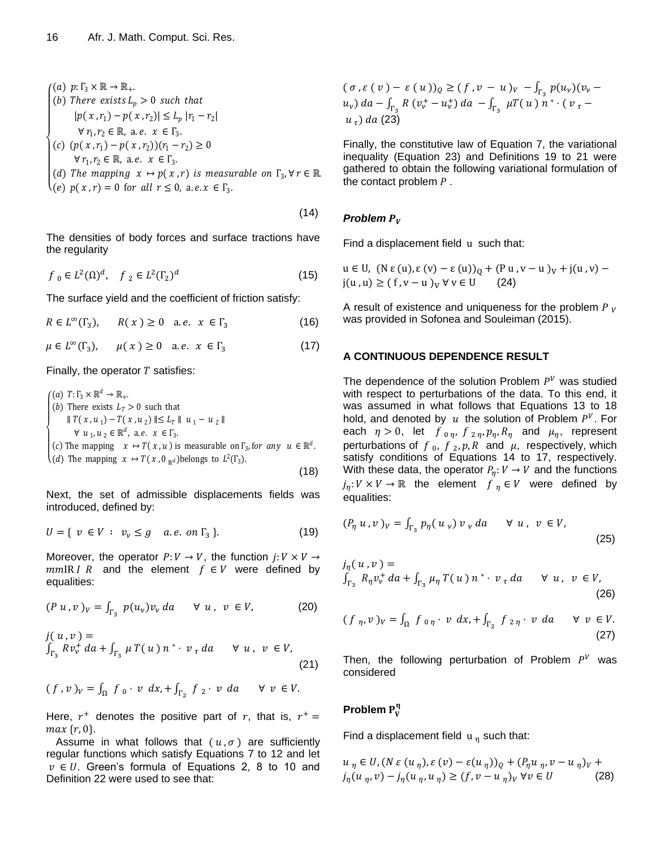\n- \n
$$
f(a) \ p: \Gamma_3 \times \mathbb{R} \to \mathbb{R}_+
$$
\n
\n- \n $[b) \ \text{There exists } L_p > 0 \ \text{such that}$ \n $|p(x, r_1) - p(x, r_2)| \leq L_p |r_1 - r_2|$ \n $\forall r_1, r_2 \in \mathbb{R}, \text{ a.e. } x \in \Gamma_3$ \n
\n- \n $[c) \ (p(x, r_1) - p(x, r_2))(r_1 - r_2) \geq 0$ \n $\forall r_1, r_2 \in \mathbb{R}, \text{ a.e. } x \in \Gamma_3$ \n
\n- \n $[d) \ \text{The mapping } x \mapsto p(x, r) \ \text{is measurable on } \Gamma_3, \forall r \in \mathbb{R}$ \n
\n- \n $(e) \ p(x, r) = 0 \ \text{for all } r \leq 0, \text{ a.e. } x \in \Gamma_3$ \n
\n

The densities of body forces and surface tractions have the regularity

 $(14)$ 

$$
f_0 \in L^2(\Omega)^d, \quad f_2 \in L^2(\Gamma_2)^d \tag{15}
$$

The surface yield and the coefficient of friction satisfy:

 $R \in L^{\infty}$ (16)

 $\mu \in L^{\infty}$ (17)

Finally, the operator  $T$  satisfies:

\n- \n
$$
\begin{cases}\n (a) \ T: \Gamma_3 \times \mathbb{R}^d \to \mathbb{R}_+.\n \end{cases}
$$
\n
\n- \n $\parallel T(x, u_1) - T(x, u_2) \parallel \leq L_T \parallel u_1 - u_2 \parallel$ \n $\forall u_1, u_2 \in \mathbb{R}^d, \text{ a.e. } x \in \Gamma_3.$ \n
\n- \n $(c) \text{ The mapping } x \mapsto T(x, u) \text{ is measurable on } \Gamma_3, \text{ for any } u \in \mathbb{R}^d.$ \n
\n- \n $(d) \text{ The mapping } x \mapsto T(x, 0_{\mathbb{R}^d}) \text{ belongs to } L^2(\Gamma_3).\n \end{cases}$ \n
\n- \n $(18)$ \n
\n

Next, the set of admissible displacements fields was introduced, defined by:

$$
U = \{ v \in V : v_v \le g \quad a.e. \text{ on } \Gamma_3 \}. \tag{19}
$$

Moreover, the operator  $P: V \to V$ , the function  $j: V \times V \to V$  $mmIR$  *I R* and the element  $f \in V$  were defined by equalities:

$$
(P \, u \, , v \, )_V = \int_{\Gamma_3} \, p(u_v) v_v \, da \qquad \forall \, u \, , \, v \, \in V, \tag{20}
$$

$$
j(u,v) = \int_{\Gamma_3} R v_v^+ da + \int_{\Gamma_3} \mu T(u) n^* \cdot v_\tau da \quad \forall u, v \in V,
$$
\n(21)

$$
(f,v)_v = \int_{\Omega} f_0 \cdot v \, dx + \int_{\Gamma_2} f_2 \cdot v \, da \quad \forall \ v \in V.
$$

Here,  $r^+$  denotes the positive part of  $r$ , that is,  $r^+$  $max\{r, 0\}.$ 

Assume in what follows that  $(u, \sigma)$  are sufficiently regular functions which satisfy Equations 7 to 12 and let  $v \in U$ . Green's formula of Equations 2, 8 to 10 and Definition 22 were used to see that:

$$
(\sigma, \varepsilon (v) - \varepsilon (u))_Q \ge (f, v - u)_V - \int_{\Gamma_3} p(u_v)(v_v - u_v) \, du - \int_{\Gamma_3} R(v_v^+ - u_v^+) \, da - \int_{\Gamma_3} \mu T(u) \, n^* \cdot (v_\tau - u_\tau) \, da \tag{23}
$$

Finally, the constitutive law of Equation 7, the variational inequality (Equation 23) and Definitions 19 to 21 were gathered to obtain the following variational formulation of the contact problem  $P$ .

### *Problem*

Find a displacement field u such that:

$$
u \in U, (N \varepsilon(u), \varepsilon(v) - \varepsilon(u))_Q + (P u, v - u)_V + j(u, v) - j(u, u) \ge (f, v - u)_V \forall v \in U \qquad (24)
$$

A result of existence and uniqueness for the problem  $P_V$ was provided in Sofonea and Souleiman (2015).

#### **A CONTINUOUS DEPENDENCE RESULT**

The dependence of the solution Problem  $P<sup>V</sup>$  was studied with respect to perturbations of the data. To this end, it was assumed in what follows that Equations 13 to 18 hold, and denoted by u the solution of Problem  $P^V$ . For each  $\eta > 0$ , let  $f_{0\eta}$ ,  $f_{2\eta}$ ,  $p_{\eta}$ ,  $R_{\eta}$  and  $\mu_{\eta}$ , represent perturbations of  $f_0$ ,  $f_2$ ,  $p$ ,  $R$  and  $\mu$ , respectively, which satisfy conditions of Equations 14 to 17, respectively. With these data, the operator  $P_n: V \to V$  and the functions  $j_n: V \times V \to \mathbb{R}$  the element  $f_n \in V$  were defined by equalities:

$$
(P_{\eta} u, v)_V = \int_{\Gamma_3} p_{\eta} (u_v) v_v da \quad \forall u, v \in V,
$$
 (25)

$$
j_{\eta}(u,v) =
$$
  

$$
\int_{\Gamma_3} R_{\eta} v_{v}^{+} da + \int_{\Gamma_3} \mu_{\eta} T(u) n^{*} \cdot v_{\tau} da \quad \forall u, v \in V,
$$
 (26)

$$
(f_{\eta}, v)_V = \int_{\Omega} f_{0\eta} \cdot v \, dx, + \int_{\Gamma_2} f_{2\eta} \cdot v \, da \qquad \forall \ v \in V. \tag{27}
$$

Then, the following perturbation of Problem  $P<sup>V</sup>$  was considered

# **Problem**

Find a displacement field  $u_n$  such that:

$$
u_{\eta} \in U, (N \varepsilon (u_{\eta}), \varepsilon (v) - \varepsilon (u_{\eta}))_{Q} + (P_{\eta} u_{\eta}, v - u_{\eta})_{V} +
$$
  

$$
j_{\eta}(u_{\eta}, v) - j_{\eta}(u_{\eta}, u_{\eta}) \ge (f, v - u_{\eta})_{V} \forall v \in U
$$
 (28)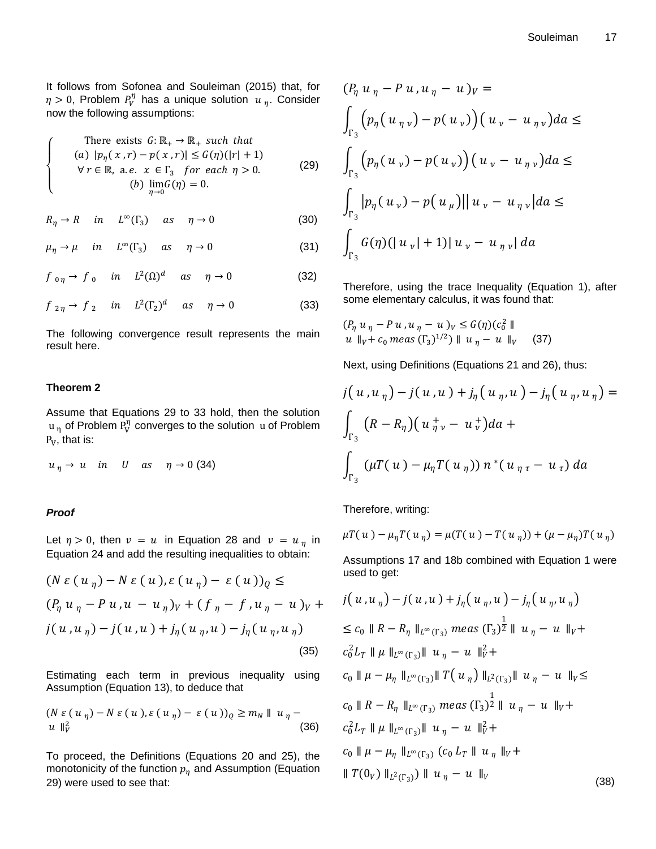It follows from Sofonea and Souleiman (2015) that, for  $\eta > 0$ , Problem  $P_v^{\eta}$  has a unique solution  $u_n$ . Consider now the following assumptions:

There exists 
$$
G: \mathbb{R}_+ \to \mathbb{R}_+
$$
 such that  
\n(a)  $|p_{\eta}(x, r) - p(x, r)| \le G(\eta)(|r| + 1)$   
\n $\forall r \in \mathbb{R}, \text{ a.e. } x \in \Gamma_3 \text{ for each } \eta > 0.$   
\n(b)  $\lim_{\eta \to 0} G(\eta) = 0.$  (29)

$$
R_{\eta} \to R \quad in \quad L^{\infty}(\Gamma_3) \quad as \quad \eta \to 0 \tag{30}
$$

$$
\mu_{\eta} \to \mu \quad in \quad L^{\infty}(\Gamma_3) \quad as \quad \eta \to 0 \tag{31}
$$

$$
f_{0\eta} \to f_0 \quad in \quad L^2(\Omega)^d \quad as \quad \eta \to 0 \tag{32}
$$

 $f_{2n} \to f_2$  in  $L^2(\Gamma_2)^d$  as  $\eta \to 0$  (33)

The following convergence result represents the main result here.

#### **Theorem 2**

 $\overline{\mathcal{L}}$  $\mathsf{I}$  $\mathbf{I}$  $\mathbf{I}$  $\mathbf{I}$ 

Assume that Equations 29 to 33 hold, then the solution  $u_n$  of Problem  $P_V^n$  converges to the solution u of Problem  $P_V$ , that is:

 $u_n \rightarrow u$  in *U* as  $\eta \rightarrow 0$  (34)

#### *Proof*

Let  $\eta > 0$ , then  $v = u$  in Equation 28 and  $v = u_{\eta}$  in Equation 24 and add the resulting inequalities to obtain:

$$
(N \varepsilon (u_{\eta}) - N \varepsilon (u), \varepsilon (u_{\eta}) - \varepsilon (u))_{Q} \le
$$
  
\n
$$
(P_{\eta} u_{\eta} - P u, u - u_{\eta})_{V} + (f_{\eta} - f, u_{\eta} - u)_{V} +
$$
  
\n
$$
j(u, u_{\eta}) - j(u, u) + j_{\eta} (u_{\eta}, u) - j_{\eta} (u_{\eta}, u_{\eta})
$$
\n(35)

Estimating each term in previous inequality using Assumption (Equation 13), to deduce that

$$
(N \varepsilon (u_{\eta}) - N \varepsilon (u), \varepsilon (u_{\eta}) - \varepsilon (u))_{Q} \ge m_{N} || u_{\eta} - u ||_{V}^{2}
$$
\n(36)

To proceed, the Definitions (Equations 20 and 25), the monotonicity of the function  $p_{\eta}$  and Assumption (Equation 29) were used to see that:

$$
(P_{\eta} u_{\eta} - P u, u_{\eta} - u)_{V} =
$$
\n
$$
\int_{\Gamma_{3}} (p_{\eta} (u_{\eta v}) - p(u_{v})) (u_{v} - u_{\eta v}) da \le
$$
\n
$$
\int_{\Gamma_{3}} (p_{\eta} (u_{v}) - p(u_{v})) (u_{v} - u_{\eta v}) da \le
$$
\n
$$
\int_{\Gamma_{3}} |p_{\eta} (u_{v}) - p(u_{\mu})| |u_{v} - u_{\eta v}| da \le
$$
\n
$$
\int_{\Gamma_{3}} G(\eta) (|u_{v}| + 1) |u_{v} - u_{\eta v}| da
$$

Therefore, using the trace Inequality (Equation 1), after some elementary calculus, it was found that:

$$
(P_{\eta} u_{\eta} - P u, u_{\eta} - u)_{V} \le G(\eta)(c_0^2 \|
$$
  
 
$$
u \|_{V} + c_0 \text{ meas } (\Gamma_3)^{1/2}) \| u_{\eta} - u \|_{V} \quad (37)
$$

Next, using Definitions (Equations 21 and 26), thus:

$$
j(u, u_{\eta}) - j(u, u) + j_{\eta}(u_{\eta}, u) - j_{\eta}(u_{\eta}, u_{\eta}) =
$$
  

$$
\int_{\Gamma_3} (R - R_{\eta})(u_{\eta} + u_{\nu}) da +
$$
  

$$
\int_{\Gamma_3} (\mu T(u) - \mu_{\eta} T(u_{\eta})) n^*(u_{\eta} - u_{\tau}) da
$$

Therefore, writing:

$$
\mu T(u) - \mu_{\eta} T(u_{\eta}) = \mu (T(u) - T(u_{\eta})) + (\mu - \mu_{\eta}) T(u_{\eta})
$$

Assumptions 17 and 18b combined with Equation 1 were used to get:

$$
(N \varepsilon (u_{\eta}) - N \varepsilon (u), \varepsilon (u_{\eta}) - \varepsilon (u))_{Q} \leq
$$
\n
$$
(P_{\eta} u_{\eta} - P u, u - u_{\eta})_{V} + (f_{\eta} - f, u_{\eta} - u)_{V} + j(u, u_{\eta}) - j(u, u) + j_{\eta}(u_{\eta}, u) - j_{\eta}(u, u_{\eta})
$$
\n
$$
j(u, u_{\eta}) - j(u, u) + j_{\eta}(u_{\eta}, u) - j_{\eta}(u_{\eta}, u_{\eta}) \leq c_{0} \|R - R_{\eta} \|_{L^{\infty}(\Gamma_{3})} \text{meas} (\Gamma_{3})^{\frac{1}{2}} \|u_{\eta} - u\|_{V} + (35)
$$
\n
$$
c_{0}^2 L_{T} \| \mu \|_{L^{\infty}(\Gamma_{3})} \|u_{\eta} - u\|_{V}^2 +
$$
\nEstimating each term in previous inequality using  
\nAssumption (Equation 13), to deduce that  
\n
$$
(N \varepsilon (u_{\eta}) - N \varepsilon (u), \varepsilon (u_{\eta}) - \varepsilon (u))_{Q} \geq m_{N} \| u_{\eta} - \sum_{\eta \in \Gamma_{3}} c_{0} \| R - R_{\eta} \|_{L^{\infty}(\Gamma_{3})} \| T(u_{\eta}) \|_{L^{2}(\Gamma_{3})} \| u_{\eta} - u \|_{V} \leq
$$
\n
$$
c_{0} \| R - R_{\eta} \|_{L^{\infty}(\Gamma_{3})} \text{meas} (\Gamma_{3})^{\frac{1}{2}} \| u_{\eta} - u \|_{V} + c_{0} \| R - R_{\eta} \|_{L^{\infty}(\Gamma_{3})} \text{meas} (\Gamma_{3})^{\frac{1}{2}} \| u_{\eta} - u \|_{V} + (36)
$$
\n
$$
c_{0}^2 L_{T} \| \mu \|_{L^{\infty}(\Gamma_{3})} \| u_{\eta} - u \|_{V}^2 +
$$
\n
$$
c_{0} \| R - \mu_{\eta} \|_{L^{\infty}(\Gamma_{3})} \| u_{\eta} - u \|_{V}^2 +
$$
\nTo proceed, the Definitions (Equations 20 and 25), the  
\nmonotonicity of the function  $p_{\eta}$  and Assumption (Equation  $|| T$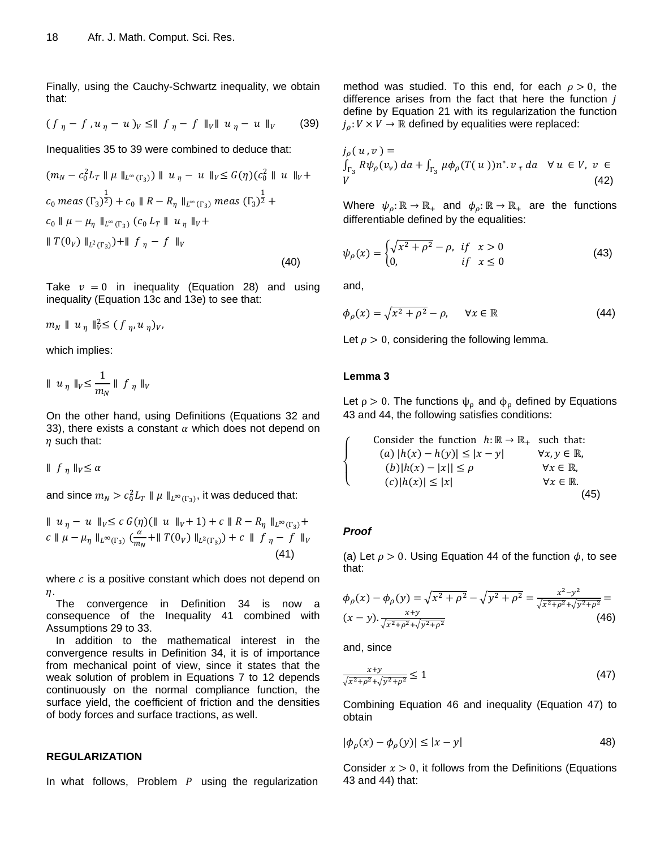Finally, using the Cauchy-Schwartz inequality, we obtain that:

$$
(f_{\eta} - f, u_{\eta} - u)_{V} \le || f_{\eta} - f ||_{V} || u_{\eta} - u ||_{V} \qquad (39)
$$

Inequalities 35 to 39 were combined to deduce that:

$$
(m_N - c_0^2 L_T || \mu ||_{L^\infty(\Gamma_3)}) || u_\eta - u ||_{V} \leq G(\eta)(c_0^2 || u ||_{V} + \frac{1}{V_3} + \frac{1}{V_4} \leq \frac{1}{V_5} + \frac{1}{V_6} \leq \frac{1}{V_7} \leq \frac{1}{V_7} \leq \frac{1}{V_8} \leq \frac{1}{V_9} \leq \frac{1}{V_9} \leq \frac{1}{V_9} \leq \frac{1}{V_9} \leq \frac{1}{V_9} \leq \frac{1}{V_9} \leq \frac{1}{V_9} \leq \frac{1}{V_9} \leq \frac{1}{V_9} \leq \frac{1}{V_9} \leq \frac{1}{V_9} \leq \frac{1}{V_9} \leq \frac{1}{V_9} \leq \frac{1}{V_9} \leq \frac{1}{V_9} \leq \frac{1}{V_9} \leq \frac{1}{V_9} \leq \frac{1}{V_9} \leq \frac{1}{V_9} \leq \frac{1}{V_9} \leq \frac{1}{V_9} \leq \frac{1}{V_9} \leq \frac{1}{V_9} \leq \frac{1}{V_9} \leq \frac{1}{V_9} \leq \frac{1}{V_9} \leq \frac{1}{V_9} \leq \frac{1}{V_9} \leq \frac{1}{V_9} \leq \frac{1}{V_9} \leq \frac{1}{V_9} \leq \frac{1}{V_9} \leq \frac{1}{V_9} \leq \frac{1}{V_9} \leq \frac{1}{V_9} \leq \frac{1}{V_9} \leq \frac{1}{V_9} \leq \frac{1}{V_9} \leq \frac{1}{V_9} \leq \frac{1}{V_9} \leq \frac{1}{V_9} \leq \frac{1}{V_9} \leq \frac{1}{V_9} \leq \frac{1}{V_9} \leq \frac{1}{V_9} \leq \frac{1}{V_9} \leq \frac{1}{V_9} \leq \frac{1}{V_9} \leq \frac{1}{V_9} \leq \frac{1}{V_9} \leq \frac{1}{V_9} \leq \frac{1}{V_9} \leq \frac
$$

Take  $v = 0$  in inequality (Equation 28) and using inequality (Equation 13c and 13e) to see that:

$$
m_N \parallel u_\eta \parallel_V^2 \leq (f_\eta, u_\eta)_V,
$$

which implies:

$$
\parallel u_{\eta} \parallel_{V} \leq \frac{1}{m_{N}} \parallel f_{\eta} \parallel_{V}
$$

On the other hand, using Definitions (Equations 32 and 33), there exists a constant  $\alpha$  which does not depend on  $\eta$  such that:

 $\parallel$  f<sub>n</sub> $\parallel$ <sub>V</sub> $\leq \alpha$ 

and since  $m_N > c_0^2 L_T ||\mu||_{L^{\infty}(\Gamma_2)}$ , it was deduced that:

$$
\| u_{\eta} - u \|_{V} \le c G(\eta) (\| u \|_{V} + 1) + c \| R - R_{\eta} \|_{L^{\infty}(\Gamma_{3})} + c \| \mu - \mu_{\eta} \|_{L^{\infty}(\Gamma_{3})} \left( \frac{\alpha}{m_{N}} + \| T(0_{V}) \|_{L^{2}(\Gamma_{3})} \right) + c \| f_{\eta} - f \|_{V}
$$
\n(41)

where  $c$  is a positive constant which does not depend on  $\eta$ .

The convergence in Definition 34 is now a consequence of the Inequality 41 combined with Assumptions 29 to 33.

In addition to the mathematical interest in the convergence results in Definition 34, it is of importance from mechanical point of view, since it states that the weak solution of problem in Equations 7 to 12 depends continuously on the normal compliance function, the surface yield, the coefficient of friction and the densities of body forces and surface tractions, as well.

#### **REGULARIZATION**

In what follows, Problem  $P$  using the regularization

method was studied. To this end, for each  $\rho > 0$ , the difference arises from the fact that here the function  $$ define by Equation 21 with its regularization the function  $j_o: V \times V \to \mathbb{R}$  defined by equalities were replaced:

$$
j_{\rho}(u,v) =
$$
  

$$
\int_{\Gamma_3} R\psi_{\rho}(v_v) da + \int_{\Gamma_3} \mu \phi_{\rho}(T(u))n^*.v_{\tau} da \quad \forall u \in V, v \in V
$$
  
(42)

Where  $\psi_{\rho} : \mathbb{R} \to \mathbb{R}_+$  and  $\phi_{\rho} : \mathbb{R} \to \mathbb{R}_+$  are the functions differentiable defined by the equalities:

$$
\psi_{\rho}(x) = \begin{cases} \sqrt{x^2 + \rho^2} - \rho, & \text{if } x > 0\\ 0, & \text{if } x \le 0 \end{cases}
$$
\n(43)

and,

$$
\phi_{\rho}(x) = \sqrt{x^2 + \rho^2} - \rho, \quad \forall x \in \mathbb{R}
$$
 (44)

Let  $\rho > 0$ , considering the following lemma.

#### **Lemma 3**

Let  $\rho > 0$ . The functions  $\psi_{\rho}$  and  $\phi_{\rho}$  defined by Equations 43 and 44, the following satisfies conditions:

Consider the function 
$$
h: \mathbb{R} \to \mathbb{R}_+
$$
 such that:  
\n(a)  $|h(x) - h(y)| \le |x - y|$   $\forall x, y \in \mathbb{R},$   
\n(b)  $|h(x) - |x|| \le \rho$   $\forall x \in \mathbb{R},$   
\n(c)  $|h(x)| \le |x|$   $\forall x \in \mathbb{R}.$  (45)

#### *Proof*

 $\overline{\mathcal{L}}$  $\mathbf{I}$ 

 $\overline{1}$ 

(a) Let  $\rho > 0$ . Using Equation 44 of the function  $\phi$ , to see that:

$$
\phi_{\rho}(x) - \phi_{\rho}(y) = \sqrt{x^2 + \rho^2} - \sqrt{y^2 + \rho^2} = \frac{x^2 - y^2}{\sqrt{x^2 + \rho^2} + \sqrt{y^2 + \rho^2}} = (x - y) \cdot \frac{x + y}{\sqrt{x^2 + \rho^2} + \sqrt{y^2 + \rho^2}}
$$
\n(46)

and, since

$$
\frac{x+y}{\sqrt{x^2 + \rho^2} + \sqrt{y^2 + \rho^2}} \le 1
$$
\n(47)

Combining Equation 46 and inequality (Equation 47) to obtain

$$
|\phi_{\rho}(x) - \phi_{\rho}(y)| \le |x - y| \tag{48}
$$

Consider  $x > 0$ , it follows from the Definitions (Equations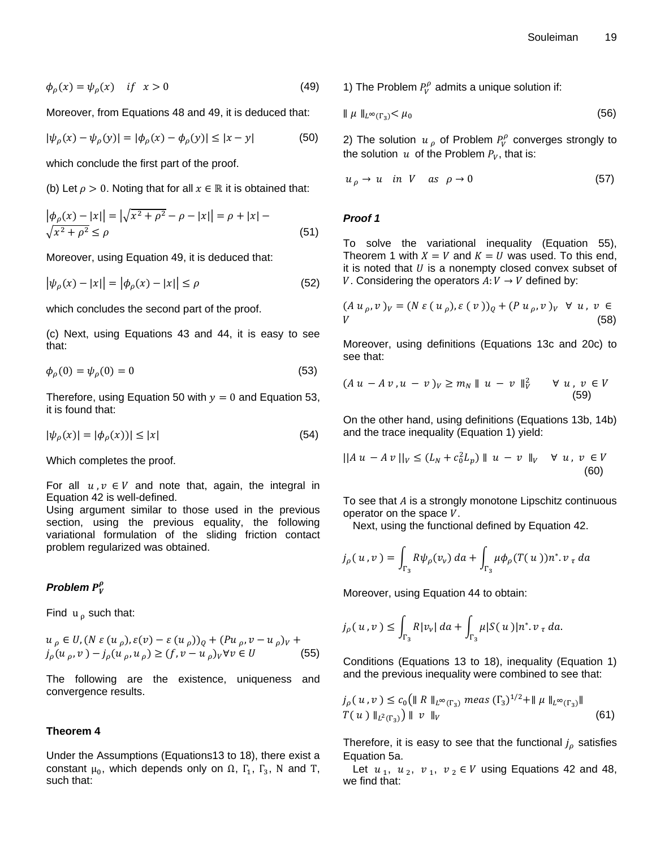$$
\phi_{\rho}(x) = \psi_{\rho}(x) \quad \text{if} \quad x > 0 \tag{49}
$$

Moreover, from Equations 48 and 49, it is deduced that:

$$
|\psi_{\rho}(x) - \psi_{\rho}(y)| = |\phi_{\rho}(x) - \phi_{\rho}(y)| \le |x - y|
$$
 (50)

which conclude the first part of the proof.

(b) Let  $\rho > 0$ . Noting that for all  $x \in \mathbb{R}$  it is obtained that:

$$
\left| \phi_{\rho}(x) - |x| \right| = \left| \sqrt{x^2 + \rho^2} - \rho - |x| \right| = \rho + |x| - \sqrt{x^2 + \rho^2} \le \rho \tag{51}
$$

Moreover, using Equation 49, it is deduced that:

$$
|\psi_{\rho}(x) - |x|| = |\phi_{\rho}(x) - |x|| \le \rho \tag{52}
$$

which concludes the second part of the proof.

(c) Next, using Equations 43 and 44, it is easy to see that:

$$
\phi_o(0) = \psi_o(0) = 0 \tag{53}
$$

Therefore, using Equation 50 with  $y = 0$  and Equation 53, it is found that:

$$
|\psi_{\rho}(x)| = |\phi_{\rho}(x))| \le |x| \tag{54}
$$

Which completes the proof.

For all  $u, v \in V$  and note that, again, the integral in Equation 42 is well-defined.

Using argument similar to those used in the previous section, using the previous equality, the following variational formulation of the sliding friction contact problem regularized was obtained.

# *Problem*

Find  $u_0$  such that:

$$
u_{\rho} \in U, (N \varepsilon (u_{\rho}), \varepsilon (v) - \varepsilon (u_{\rho}))_Q + (Pu_{\rho}, v - u_{\rho})_V +
$$
  

$$
j_{\rho}(u_{\rho}, v) - j_{\rho}(u_{\rho}, u_{\rho}) \ge (f, v - u_{\rho})_V \forall v \in U
$$
 (55)

The following are the existence, uniqueness and convergence results.

#### **Theorem 4**

Under the Assumptions (Equations13 to 18), there exist a constant  $\mu_0$ , which depends only on  $\Omega$ ,  $\Gamma_1$ ,  $\Gamma_3$ , N and T, such that:

1) The Problem  $P_V^{\rho}$  admits a unique solution if:

$$
\parallel \mu \parallel_{L^{\infty}(\Gamma_3)} < \mu_0 \tag{56}
$$

2) The solution  $u_{\rho}$  of Problem  $P_v^{\rho}$  converges strongly to the solution  $u$  of the Problem  $P_v$ , that is:

$$
u_{\rho} \to u \quad \text{in} \quad V \quad \text{as} \quad \rho \to 0 \tag{57}
$$

## *Proof 1*

To solve the variational inequality (Equation 55), Theorem 1 with  $X = V$  and  $K = U$  was used. To this end, it is noted that  $U$  is a nonempty closed convex subset of V. Considering the operators  $A: V \rightarrow V$  defined by:

$$
(Au_{\rho}, v)_V = (N \varepsilon (u_{\rho}), \varepsilon (v))_Q + (Pu_{\rho}, v)_V \ \forall u, v \in
$$
  
 (58)

Moreover, using definitions (Equations 13c and 20c) to see that:

$$
(Au - Av, u - v)_V \ge m_N \parallel u - v \parallel_V^2 \qquad \forall u, v \in V
$$
\n
$$
(59)
$$

On the other hand, using definitions (Equations 13b, 14b) and the trace inequality (Equation 1) yield:

$$
||Au - Av||_{V} \le (L_N + c_0^2 L_p) ||u - v||_{V} \quad \forall \ u, \ v \in V
$$
\n(60)

To see that  $A$  is a strongly monotone Lipschitz continuous operator on the space  $V$ .

Next, using the functional defined by Equation 42.

$$
j_{\rho}(u,v) = \int_{\Gamma_3} R \psi_{\rho}(v_v) \, da + \int_{\Gamma_3} \mu \phi_{\rho}(T(u)) n^*. v_{\tau} \, da
$$

Moreover, using Equation 44 to obtain:

$$
j_{\rho}(u,v) \leq \int_{\Gamma_3} R|v_v| \, da + \int_{\Gamma_3} \mu|S(u)| n^*.v_{\tau} \, da.
$$

Conditions (Equations 13 to 18), inequality (Equation 1) and the previous inequality were combined to see that:

$$
j_{\rho}(u, v) \le c_0 \left( || R ||_{L^{\infty}(\Gamma_3)} \text{ meas } (\Gamma_3)^{1/2} + || \mu ||_{L^{\infty}(\Gamma_3)} ||
$$
  
T(u)  $||_{L^2(\Gamma_3)}$  || v  $||_V$  (61)

Therefore, it is easy to see that the functional  $j<sub>o</sub>$  satisfies Equation 5a.

Let  $u_1$ ,  $u_2$ ,  $v_1$ ,  $v_2 \in V$  using Equations 42 and 48, we find that: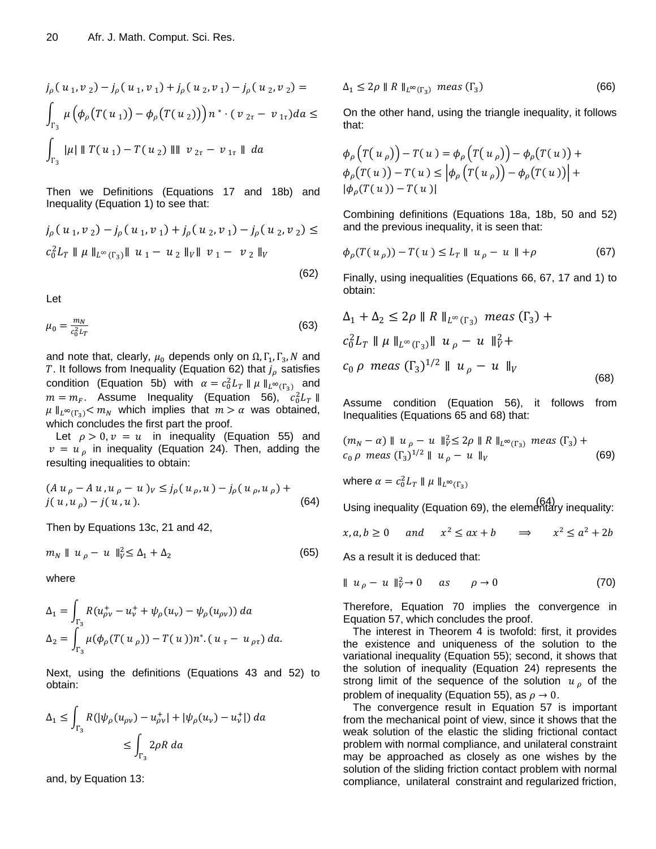$$
j_{\rho}(u_1, v_2) - j_{\rho}(u_1, v_1) + j_{\rho}(u_2, v_1) - j_{\rho}(u_2, v_2) =
$$
  

$$
\int_{\Gamma_3} \mu(\phi_{\rho}(T(u_1)) - \phi_{\rho}(T(u_2))) n^* \cdot (v_{2\tau} - v_{1\tau}) da \le
$$
  

$$
\int_{\Gamma_3} |\mu| ||T(u_1) - T(u_2)|| ||v_{2\tau} - v_{1\tau} || da
$$

Then we Definitions (Equations 17 and 18b) and Inequality (Equation 1) to see that:

$$
j_{\rho}(u_1, v_2) - j_{\rho}(u_1, v_1) + j_{\rho}(u_2, v_1) - j_{\rho}(u_2, v_2) \le
$$
  

$$
c_0^2 L_T ||\mu||_{L^{\infty}(\Gamma_3)} ||u_1 - u_2||_V ||v_1 - v_2||_V
$$
  
(62)

Let

$$
\mu_0 = \frac{m_N}{c_0^2 L_T} \tag{63}
$$

and note that, clearly,  $\mu_0$  depends only on  $\Omega$ ,  $\Gamma_1$ ,  $\Gamma_3$ , N and T. It follows from Inequality (Equation 62) that  $j_\rho$  satisfies condition (Equation 5b) with  $\alpha = c_0^2 L_T || \mu ||_{L^{\infty}(\Gamma_2)}$  and  $m = m_F$ . Assume Inequality (Equation 56),  $c_0^2$  $\mu \parallel_{L^{\infty}(\Gamma_3)} < m_N$  which implies that  $m > \alpha$  was obtained, which concludes the first part the proof.

Let  $\rho > 0$ ,  $v = u$  in inequality (Equation 55) and  $v = u<sub>o</sub>$  in inequality (Equation 24). Then, adding the resulting inequalities to obtain:

$$
(Au_{\rho} - Au, u_{\rho} - u)_{V} \le j_{\rho}(u_{\rho}, u) - j_{\rho}(u_{\rho}, u_{\rho}) +
$$
  

$$
j(u, u_{\rho}) - j(u, u).
$$
 (64)

Then by Equations 13c, 21 and 42,

$$
m_N \parallel u_\rho - u \parallel_V^2 \le \Delta_1 + \Delta_2 \tag{65}
$$

where

$$
\Delta_1 = \int_{\Gamma_3} R(u_{\rho v}^+ - u_v^+ + \psi_{\rho}(u_v) - \psi_{\rho}(u_{\rho v})) da
$$
  

$$
\Delta_2 = \int_{\Gamma_3} \mu(\phi_{\rho}(T(u_{\rho})) - T(u))n^*. (u_{\tau} - u_{\rho \tau}) da.
$$

Next, using the definitions (Equations 43 and 52) to obtain:

$$
\Delta_1 \le \int_{\Gamma_3} R(|\psi_{\rho}(u_{\rho\nu}) - u_{\rho\nu}^+| + |\psi_{\rho}(u_{\nu}) - u_{\nu}^+|) da
$$
  

$$
\le \int_{\Gamma_3} 2\rho R da
$$

and, by Equation 13:

$$
\Delta_1 \le 2\rho \parallel R \parallel_{L^{\infty}(\Gamma_3)} meas(\Gamma_3)
$$
 (66)

On the other hand, using the triangle inequality, it follows that:

$$
\phi_{\rho}\left(T(u_{\rho})\right) - T(u) = \phi_{\rho}\left(T(u_{\rho})\right) - \phi_{\rho}(T(u)) + \phi_{\rho}(T(u)) - T(u) \leq \left|\phi_{\rho}\left(T(u_{\rho})\right) - \phi_{\rho}(T(u))\right| + \left|\phi_{\rho}(T(u)) - T(u)\right|
$$

Combining definitions (Equations 18a, 18b, 50 and 52) and the previous inequality, it is seen that:

$$
\phi_{\rho}(T(u_{\rho})) - T(u) \le L_T || u_{\rho} - u || + \rho \tag{67}
$$

Finally, using inequalities (Equations 66, 67, 17 and 1) to obtain:

$$
\Delta_1 + \Delta_2 \le 2\rho \parallel R \parallel_{L^{\infty}(\Gamma_3)} meas (\Gamma_3) + c_0^2 L_T \parallel \mu \parallel_{L^{\infty}(\Gamma_3)} \parallel u_{\rho} - u \parallel_{V}^2 + c_0 \rho \ meas (\Gamma_3)^{1/2} \parallel u_{\rho} - u \parallel_{V} \tag{68}
$$

Assume condition (Equation 56), it follows from Inequalities (Equations 65 and 68) that:

$$
(m_N - \alpha) \parallel u_\rho - u \parallel_V^2 \le 2\rho \parallel R \parallel_{L^\infty(\Gamma_3)} meas(\Gamma_3) + c_0 \rho \text{ meas}(\Gamma_3)^{1/2} \parallel u_\rho - u \parallel_V
$$
 (69)

where  $\alpha = c_0^2$ 

 $j(u, u_{\rho}) - j(u, u)$ .<br>Using inequality (Equation 69), the elementary inequality:

 $x, a, b > 0$  $2 < ar + h \rightarrow r^2 < a^2$ 

As a result it is deduced that:

$$
\parallel u_{\rho} - u \parallel_{V}^{2} \to 0 \qquad \text{as} \qquad \rho \to 0 \tag{70}
$$

Therefore, Equation 70 implies the convergence in Equation 57, which concludes the proof.

The interest in Theorem 4 is twofold: first, it provides the existence and uniqueness of the solution to the variational inequality (Equation 55); second, it shows that the solution of inequality (Equation 24) represents the strong limit of the sequence of the solution  $u<sub>\rho</sub>$  of the problem of inequality (Equation 55), as  $\rho \to 0$ .

The convergence result in Equation 57 is important from the mechanical point of view, since it shows that the weak solution of the elastic the sliding frictional contact problem with normal compliance, and unilateral constraint may be approached as closely as one wishes by the solution of the sliding friction contact problem with normal compliance, unilateral constraint and regularized friction,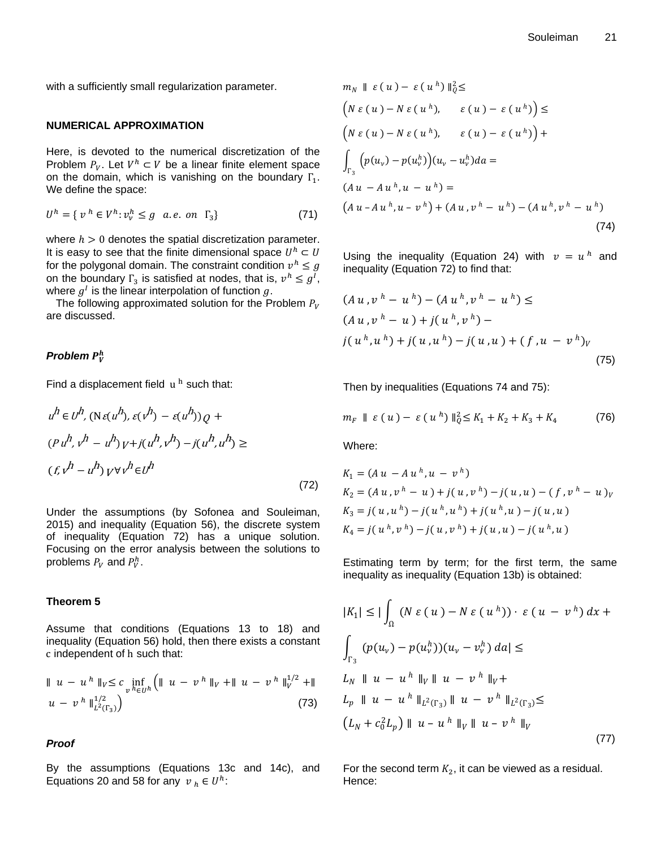with a sufficiently small regularization parameter.

#### **NUMERICAL APPROXIMATION**

Here, is devoted to the numerical discretization of the Problem  $P_V$ . Let  $V^h \subset V$  be a linear finite element space on the domain, which is vanishing on the boundary  $\Gamma_1$ . We define the space:

$$
U^h = \{ v^h \in V^h : v_v^h \le g \quad a.e. \text{ on } \Gamma_3 \} \tag{71}
$$

where  $h > 0$  denotes the spatial discretization parameter. It is easy to see that the finite dimensional space  $U^h$ for the polygonal domain. The constraint condition  $v^h$ on the boundary  $\Gamma_3$  is satisfied at nodes, that is,  $v^h \leq g^I$ , where  $g^I$  is the linear interpolation of function  $g$ .

The following approximated solution for the Problem  $P_V$ are discussed.

# *Problem*

Find a displacement field  $u<sup>h</sup>$  such that:

$$
u^{h} \in U^{h}, (\text{N} \in (u^{h}), \varepsilon (v^{h}) - \varepsilon (u^{h}))Q + m_{F} || \varepsilon
$$
  
\n
$$
(Pu^{h}, v^{h} - u^{h}) V + j(u^{h}, v^{h}) - j(u^{h}, u^{h}) \ge
$$
 Where:  
\n
$$
(fv^{h} - u^{h}) V + j(v^{h} \in U^{h}
$$
 (72)  $K_{1} = (A_{K_{2}} = (A_{K_{3}} = 0))$   
\nUnder the assumptions (by Sofonea and Souleiman, 2015) and inequality (Equation 72) has a unique solution.  
\n
$$
K_{4} = j(0, 0, 0)
$$
  
\n
$$
F_{5}
$$
 focusing on the error analysis between the solutions to  
\nproblems  $P_{V}$  and  $P_{V}^{h}$ . Estima  
\n
$$
F_{6}
$$
 Theorem 5  
\nAssume that conditions (Equations 13 to 18) and  
\n
$$
F_{6}
$$
 in the equation of h such that:  
\n
$$
||u - u^{h}||_{V} \leq c \inf_{v^{h} \in U^{h}} (||u - v^{h}||_{V} + ||u - v^{h}||_{V}^{1/2} + ||u - v^{h}||_{V}^{1/2} + ||u - v^{h}||_{L^{2}(\Gamma_{3})}^{1/2}
$$
  
\n
$$
u - v^{h}||_{L^{2}(\Gamma_{3})}^{1/2}
$$
 (73)  $L_{p}$  || u  
\n
$$
L_{N} + c \cdot C_{p}
$$
  
\n
$$
F_{6}
$$
 By the assumptions (Equations 13c and 14c), and For the  
\nEquations 20 and 58 for any  $v_{h} \in U^{h}$ : Hence:

Under the assumptions (by Sofonea and Souleiman, 2015) and inequality (Equation 56), the discrete system of inequality (Equation 72) has a unique solution. Focusing on the error analysis between the solutions to problems  $P_V$  and  $P_V^h$ .

# **Theorem 5**

Assume that conditions (Equations 13 to 18) and inequality (Equation 56) hold, then there exists a constant c independent of h such that:

$$
\| u - u^h \|_{V} \leq c \inf_{v^h \in U^h} \left( \| u - v^h \|_{V} + \| u - v^h \|_{V}^{1/2} + \| u - v^h \|_{V}^{1/2} \right)
$$
  

$$
u - v^h \|_{L^2(\Gamma_3)}^{1/2} \right)
$$
 (73)

#### *Proof*

By the assumptions (Equations 13c and 14c), and Equations 20 and 58 for any  $v_h \in U^h$ :

$$
m_N \parallel \varepsilon (u) - \varepsilon (u^h) \parallel_{Q}^{2} \le
$$
  
\n
$$
\left( N \varepsilon (u) - N \varepsilon (u^h), \varepsilon (u) - \varepsilon (u^h) \right) \le
$$
  
\n
$$
\left( N \varepsilon (u) - N \varepsilon (u^h), \varepsilon (u) - \varepsilon (u^h) \right) +
$$
  
\n
$$
\int_{\Gamma_3} \left( p(u_v) - p(u_v^h) \right) (u_v - u_v^h) du =
$$
  
\n
$$
(Au - Au^h, u - u^h) =
$$
  
\n
$$
\left( Au - Au^h, u - v^h \right) + (Au, v^h - u^h) - (Au^h, v^h - u^h)
$$
\n(74)

Using the inequality (Equation 24) with  $v = u^h$  and inequality (Equation 72) to find that:

$$
(Au, v^h - u^h) - (Au^h, v^h - u^h) \le
$$
  
\n
$$
(Au, v^h - u) + j(u^h, v^h) -
$$
  
\n
$$
j(u^h, u^h) + j(u, u^h) - j(u, u) + (f, u - v^h)_V
$$
  
\n(75)

Then by inequalities (Equations 74 and 75):

$$
m_F \parallel \varepsilon (u) - \varepsilon (u^h) \parallel_Q^2 \le K_1 + K_2 + K_3 + K_4 \tag{76}
$$

Where:

$$
K_1 = (A u - A u^h, u - v^h)
$$
  
\n
$$
K_2 = (A u, v^h - u) + j(u, v^h) - j(u, u) - (f, v^h - u)_v
$$
  
\n
$$
K_3 = j(u, u^h) - j(u^h, u^h) + j(u^h, u) - j(u, u)
$$
  
\n
$$
K_4 = j(u^h, v^h) - j(u, v^h) + j(u, u) - j(u^h, u)
$$

Estimating term by term; for the first term, the same inequality as inequality (Equation 13b) is obtained:

$$
|K_1| \leq |\int_{\Omega} (N \varepsilon (u) - N \varepsilon (u^h)) \cdot \varepsilon (u - v^h) dx +
$$
  

$$
\int_{\Gamma_3} (p(u_v) - p(u_v^h))(u_v - v_v^h) da| \leq
$$
  

$$
L_N \parallel u - u^h \parallel_V \parallel u - v^h \parallel_V +
$$
  

$$
L_p \parallel u - u^h \parallel_{L^2(\Gamma_3)} \parallel u - v^h \parallel_{L^2(\Gamma_3)} \leq
$$
  

$$
(L_N + c_0^2 L_p) \parallel u - u^h \parallel_V \parallel u - v^h \parallel_V
$$
 (77)

For the second term  $K_2$ , it can be viewed as a residual.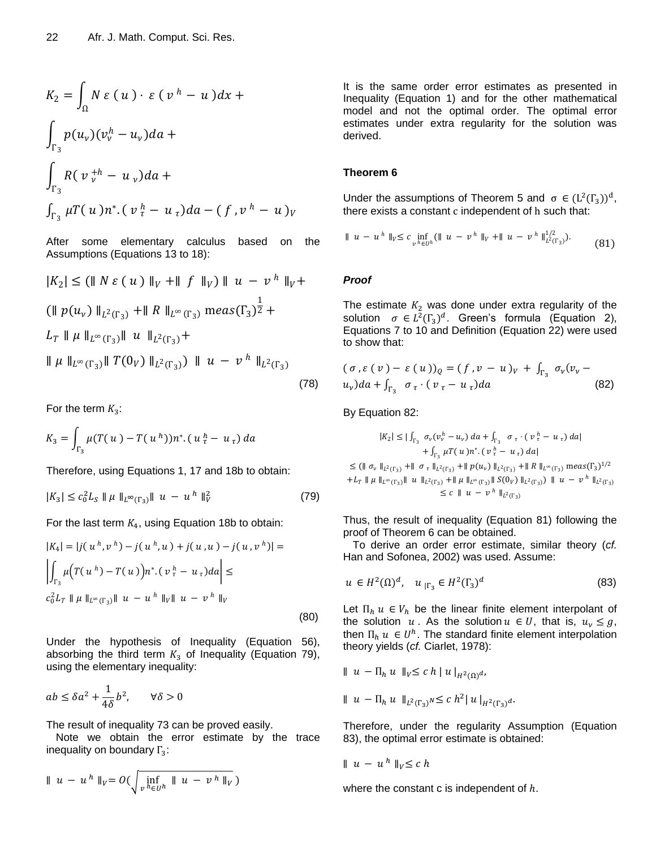$$
K_2 = \int_{\Omega} N \varepsilon (u) \cdot \varepsilon (v^h - u) dx +
$$
  

$$
\int_{\Gamma_3} p(u_v) (v_v^h - u_v) da +
$$
  

$$
\int_{\Gamma_3} R(v_v^{h} - u_v) da +
$$
  

$$
\int_{\Gamma_3} \mu T(u) n^* \cdot (v_v^h - u_v) da - (f, v^h - u) v
$$

After some elementary calculus based on the Assumptions (Equations 13 to 18):

$$
|K_2| \leq (|| N \varepsilon (u) ||_V + || f ||_V) || u - v^h ||_V +
$$
  
\n
$$
|| p(u_v) ||_{L^2(\Gamma_3)} + || R ||_{L^{\infty}(\Gamma_3)} \operatorname{meas}(\Gamma_3)^{\frac{1}{2}} +
$$
  
\n
$$
L_T || \mu ||_{L^{\infty}(\Gamma_3)} || u ||_{L^2(\Gamma_3)} +
$$
  
\n
$$
|| \mu ||_{L^{\infty}(\Gamma_3)} || T(0_V) ||_{L^2(\Gamma_3)} ) || u - v^h ||_{L^2(\Gamma_3)}
$$
\n(78)

For the term  $K_3$ :

$$
K_3 = \int_{\Gamma_3} \mu(T(u) - T(u^h)) n^* (u^h_{\tau} - u_{\tau}) da
$$

Therefore, using Equations 1, 17 and 18b to obtain:

$$
|K_3| \le c_0^2 L_S \|\mu\|_{L^\infty(\Gamma_3)} \|\mu - u^h\|_V^2 \tag{79}
$$

For the last term  $K_4$ , using Equation 18b to obtain:

$$
|K_4| = |j(u^h, v^h) - j(u^h, u) + j(u, u) - j(u, v^h)| =
$$
  

$$
\left| \int_{\Gamma_3} \mu \Big( T(u^h) - T(u) \Big) n^* \cdot (v^h - u_\tau) da \right| \le
$$
  

$$
c_0^2 L_T \| \mu \|_{L^\infty(\Gamma_3)} \| u - u^h \|_{V} \| u - v^h \|_{V}
$$
 (80)

Under the hypothesis of Inequality (Equation 56), absorbing the third term  $K_3$  of Inequality (Equation 79), using the elementary inequality:

$$
ab\leq \delta a^2+\frac{1}{4\delta}b^2,\qquad \forall \delta>0
$$

The result of inequality 73 can be proved easily.

Note we obtain the error estimate by the trace inequality on boundary  $\Gamma_3$ :

$$
\| u - u^h \|_{V} = O\left(\sqrt{\inf_{v \; h \in U^h} \| u - v^h \|_{V}}\right)
$$

It is the same order error estimates as presented in Inequality (Equation 1) and for the other mathematical model and not the optimal order. The optimal error estimates under extra regularity for the solution was derived.

#### **Theorem 6**

Under the assumptions of Theorem 5 and  $\sigma \in (L^2(\Gamma_3))^d$ , there exists a constant  $c$  independent of  $h$  such that:

$$
\| u - u^h \|_{V} \leq c \inf_{v^h \in U^h} (\| u - v^h \|_{V} + \| u - v^h \|_{L^2(\Gamma_3)}^{\frac{1}{2}}). \tag{81}
$$

#### *Proof*

The estimate  $K_2$  was done under extra regularity of the solution  $\sigma \in L^2(\Gamma_3)^d$ . Green's formula (Equation 2), Equations 7 to 10 and Definition (Equation 22) were used to show that:

$$
(\sigma, \varepsilon(v) - \varepsilon(u))_Q = (f, v - u)_V + \int_{\Gamma_3} \sigma_v(v_v - u_v) da + \int_{\Gamma_3} \sigma_v \cdot (v_\tau - u_\tau) da \tag{82}
$$

## By Equation 82:

$$
|K_2| \leq |\int_{\Gamma_3} \sigma_v (v_v^h - u_v) da + \int_{\Gamma_3} \sigma_{\tau} \cdot (v_{\tau}^h - u_{\tau}) da|
$$
  
+ 
$$
\int_{\Gamma_3} \mu T(u) n^* \cdot (v_{\tau}^h - u_{\tau}) da|
$$
  

$$
\leq (|| \sigma_v ||_{L^2(\Gamma_3)} + || \sigma_{\tau} ||_{L^2(\Gamma_3)} + || p(u_v) ||_{L^2(\Gamma_3)} + || R ||_{L^{\infty}(\Gamma_3)} \text{ meas}(\Gamma_3)^{1/2}
$$
  
+ 
$$
L_T || \mu ||_{L^{\infty}(\Gamma_3)} || u ||_{L^2(\Gamma_3)} + || \mu ||_{L^{\infty}(\Gamma_3)} || S(0_V) ||_{L^2(\Gamma_3)}) || u - v^h ||_{L^2(\Gamma_3)}
$$
  

$$
\leq c || u - v^h ||_{L^2(\Gamma_3)}
$$

Thus, the result of inequality (Equation 81) following the proof of Theorem 6 can be obtained.

To derive an order error estimate, similar theory (*cf.* Han and Sofonea, 2002) was used. Assume:

$$
u \in H^{2}(\Omega)^{d}, \quad u_{|\Gamma_{3}} \in H^{2}(\Gamma_{3})^{d} \tag{83}
$$

Let  $\Pi_h u \in V_h$  be the linear finite element interpolant of the solution  $u$ . As the solution  $u \in U$ , that is,  $u_v \leq g$ , then  $\Pi_h u \in U^h$ . The standard finite element interpolation theory yields (*cf.* Ciarlet, 1978):

$$
\parallel u - \Pi_h u \parallel_V \leq c h \parallel u \parallel_{H^2(\Omega)} u,
$$

 $||u - \Pi_h u||_{L^2(\Gamma)} \le c h^2 ||u||_{H^2(\Gamma)}$ 

Therefore, under the regularity Assumption (Equation 83), the optimal error estimate is obtained:

$$
\parallel u - u^h \parallel_V \leq c h
$$

where the constant c is independent of  $h$ .